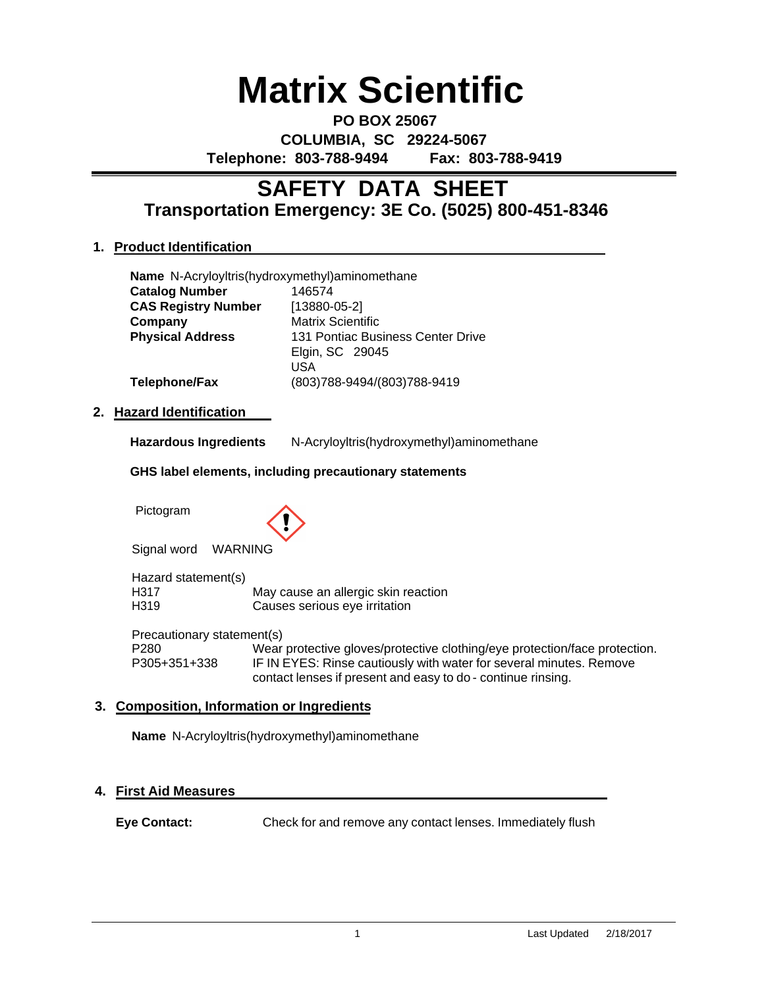# **Matrix Scientific**

**PO BOX 25067 COLUMBIA, SC 29224-5067 Telephone: 803-788-9494 Fax: 803-788-9419**

# **Transportation Emergency: 3E Co. (5025) 800-451-8346 SAFETY DATA SHEET**

### **1. Product Identification**

| Name N-Acryloyltris(hydroxymethyl)aminomethane |                                   |
|------------------------------------------------|-----------------------------------|
| <b>Catalog Number</b>                          | 146574                            |
| <b>CAS Registry Number</b>                     | $[13880 - 05 - 2]$                |
| Company                                        | <b>Matrix Scientific</b>          |
| <b>Physical Address</b>                        | 131 Pontiac Business Center Drive |
|                                                | Elgin, SC 29045                   |
|                                                | USA                               |
| Telephone/Fax                                  | (803) 788-9494/(803) 788-9419     |

### **2. Hazard Identification**

**Hazardous Ingredients** N-Acryloyltris(hydroxymethyl)aminomethane

#### **GHS label elements, including precautionary statements**

Pictogram



Signal word WARNING

Hazard statement(s) H317 May cause an allergic skin reaction H319 Causes serious eye irritation

Precautionary statement(s) P280 Wear protective gloves/protective clothing/eye protection/face protection. P305+351+338 IF IN EYES: Rinse cautiously with water for several minutes. Remove contact lenses if present and easy to do - continue rinsing.

# **3. Composition, Information or Ingredients**

**Name** N-Acryloyltris(hydroxymethyl)aminomethane

### **4. First Aid Measures**

**Eye Contact:** Check for and remove any contact lenses. Immediately flush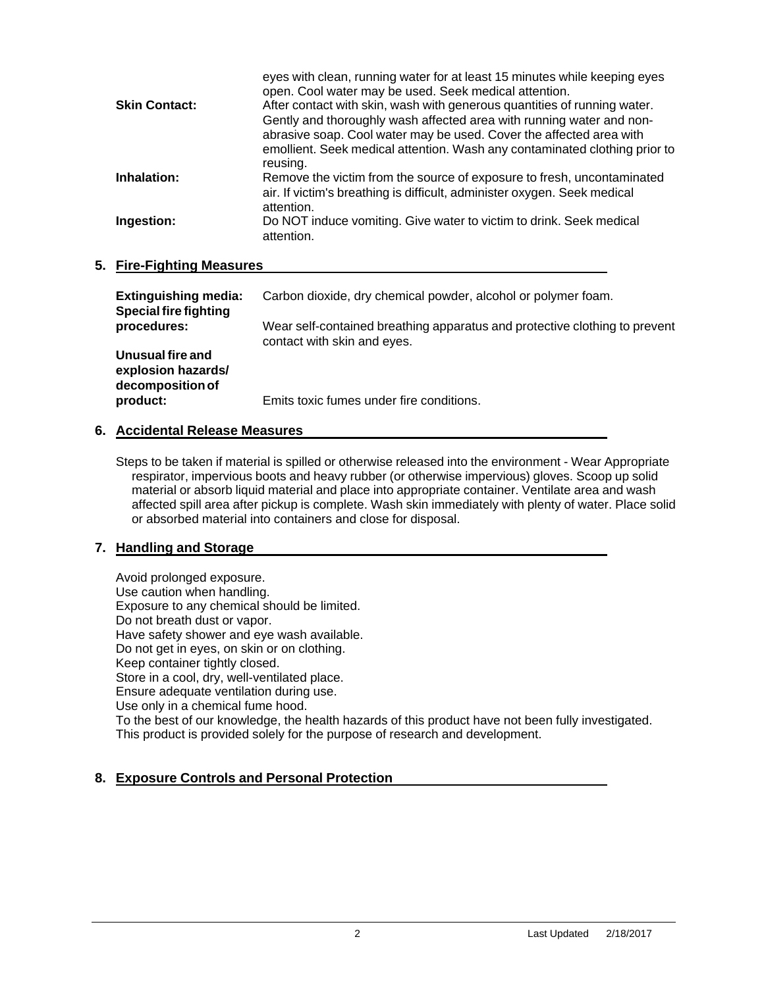|                      | eyes with clean, running water for at least 15 minutes while keeping eyes<br>open. Cool water may be used. Seek medical attention. |
|----------------------|------------------------------------------------------------------------------------------------------------------------------------|
| <b>Skin Contact:</b> | After contact with skin, wash with generous quantities of running water.                                                           |
|                      | Gently and thoroughly wash affected area with running water and non-                                                               |
|                      | abrasive soap. Cool water may be used. Cover the affected area with                                                                |
|                      | emollient. Seek medical attention. Wash any contaminated clothing prior to                                                         |
|                      | reusing.                                                                                                                           |
| Inhalation:          | Remove the victim from the source of exposure to fresh, uncontaminated                                                             |
|                      | air. If victim's breathing is difficult, administer oxygen. Seek medical                                                           |
|                      | attention.                                                                                                                         |
| Ingestion:           | Do NOT induce vomiting. Give water to victim to drink. Seek medical                                                                |
|                      | attention.                                                                                                                         |
|                      |                                                                                                                                    |

#### **5. Fire-Fighting Measures**

| <b>Extinguishing media:</b><br><b>Special fire fighting</b> | Carbon dioxide, dry chemical powder, alcohol or polymer foam.                                             |
|-------------------------------------------------------------|-----------------------------------------------------------------------------------------------------------|
| procedures:                                                 | Wear self-contained breathing apparatus and protective clothing to prevent<br>contact with skin and eyes. |
| Unusual fire and<br>explosion hazards/<br>decomposition of  |                                                                                                           |
| product:                                                    | Emits toxic fumes under fire conditions.                                                                  |

#### **6. Accidental Release Measures**

Steps to be taken if material is spilled or otherwise released into the environment - Wear Appropriate respirator, impervious boots and heavy rubber (or otherwise impervious) gloves. Scoop up solid material or absorb liquid material and place into appropriate container. Ventilate area and wash affected spill area after pickup is complete. Wash skin immediately with plenty of water. Place solid or absorbed material into containers and close for disposal.

### **7. Handling and Storage**

Avoid prolonged exposure. Use caution when handling. Exposure to any chemical should be limited. Do not breath dust or vapor. Have safety shower and eye wash available. Do not get in eyes, on skin or on clothing. Keep container tightly closed. Store in a cool, dry, well-ventilated place. Ensure adequate ventilation during use. Use only in a chemical fume hood. To the best of our knowledge, the health hazards of this product have not been fully investigated. This product is provided solely for the purpose of research and development.

### **8. Exposure Controls and Personal Protection**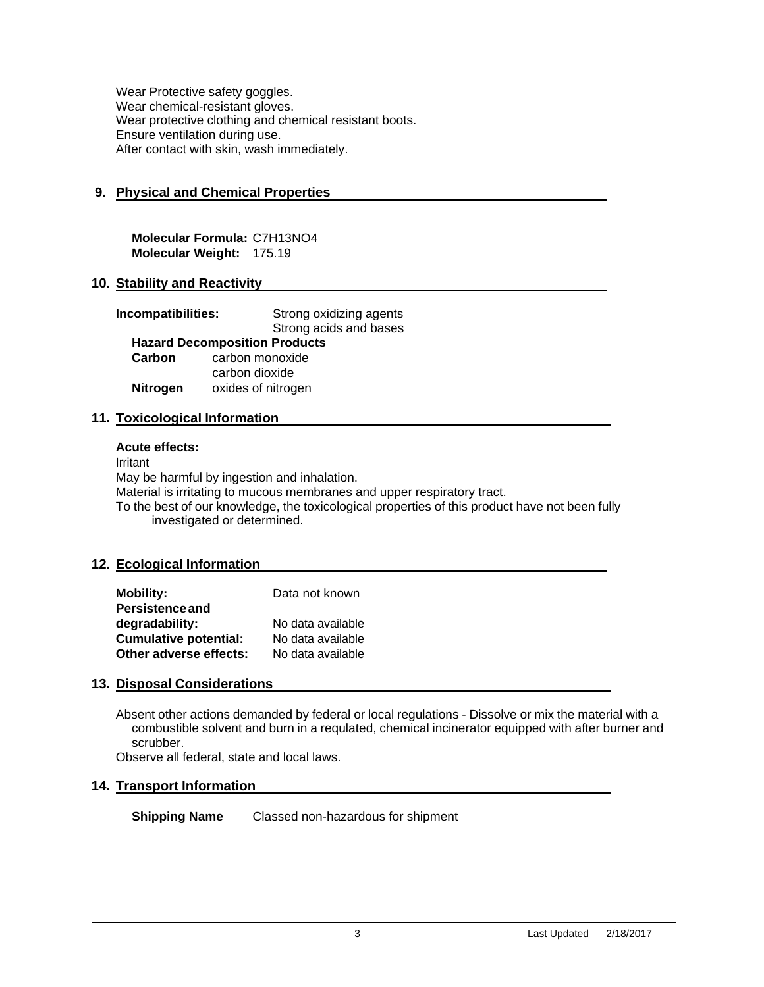Wear Protective safety goggles. Wear chemical-resistant gloves. Wear protective clothing and chemical resistant boots. Ensure ventilation during use. After contact with skin, wash immediately.

### **9. Physical and Chemical Properties**

**Molecular Formula:** C7H13NO4 **Molecular Weight:** 175.19

#### **10. Stability and Reactivity**

| Incompatibilities: |                                      | Strong oxidizing agents |
|--------------------|--------------------------------------|-------------------------|
|                    |                                      | Strong acids and bases  |
|                    | <b>Hazard Decomposition Products</b> |                         |
| Carbon             | carbon monoxide                      |                         |
|                    | carbon dioxide                       |                         |
| <b>Nitrogen</b>    | oxides of nitrogen                   |                         |

#### **11. Toxicological Information**

#### **Acute effects:**

Irritant May be harmful by ingestion and inhalation. Material is irritating to mucous membranes and upper respiratory tract. To the best of our knowledge, the toxicological properties of this product have not been fully investigated or determined.

#### **12. Ecological Information**

| <b>Mobility:</b>             | Data not known    |
|------------------------------|-------------------|
| <b>Persistence and</b>       |                   |
| degradability:               | No data available |
| <b>Cumulative potential:</b> | No data available |
| Other adverse effects:       | No data available |

#### **13. Disposal Considerations**

Absent other actions demanded by federal or local regulations - Dissolve or mix the material with a combustible solvent and burn in a requlated, chemical incinerator equipped with after burner and scrubber.

Observe all federal, state and local laws.

#### **14. Transport Information**

**Shipping Name** Classed non-hazardous for shipment